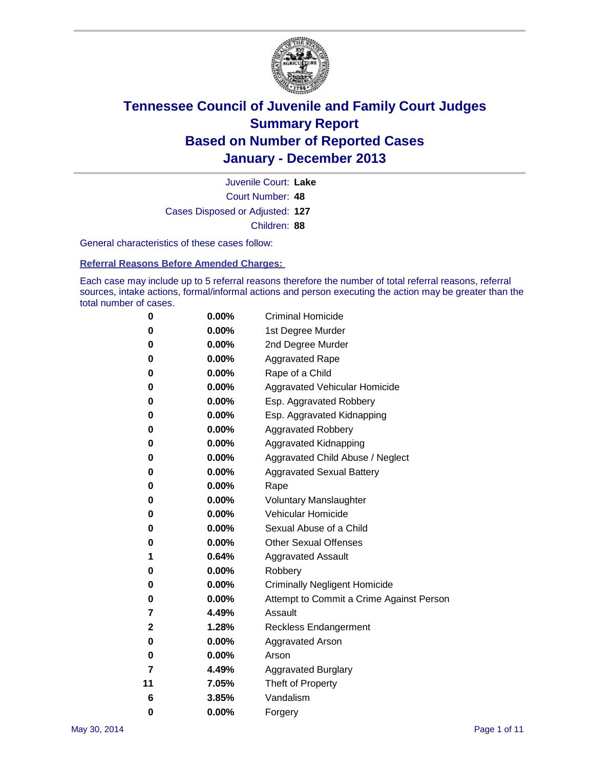

Court Number: **48** Juvenile Court: **Lake** Cases Disposed or Adjusted: **127** Children: **88**

General characteristics of these cases follow:

**Referral Reasons Before Amended Charges:** 

Each case may include up to 5 referral reasons therefore the number of total referral reasons, referral sources, intake actions, formal/informal actions and person executing the action may be greater than the total number of cases.

| 0  | 0.00%    | <b>Criminal Homicide</b>                 |
|----|----------|------------------------------------------|
| 0  | 0.00%    | 1st Degree Murder                        |
| 0  | 0.00%    | 2nd Degree Murder                        |
| 0  | $0.00\%$ | <b>Aggravated Rape</b>                   |
| 0  | 0.00%    | Rape of a Child                          |
| 0  | 0.00%    | <b>Aggravated Vehicular Homicide</b>     |
| 0  | $0.00\%$ | Esp. Aggravated Robbery                  |
| 0  | 0.00%    | Esp. Aggravated Kidnapping               |
| 0  | 0.00%    | <b>Aggravated Robbery</b>                |
| 0  | 0.00%    | Aggravated Kidnapping                    |
| 0  | 0.00%    | Aggravated Child Abuse / Neglect         |
| 0  | 0.00%    | <b>Aggravated Sexual Battery</b>         |
| 0  | 0.00%    | Rape                                     |
| 0  | 0.00%    | <b>Voluntary Manslaughter</b>            |
| 0  | 0.00%    | Vehicular Homicide                       |
| 0  | 0.00%    | Sexual Abuse of a Child                  |
| 0  | 0.00%    | <b>Other Sexual Offenses</b>             |
| 1  | 0.64%    | <b>Aggravated Assault</b>                |
| 0  | 0.00%    | Robbery                                  |
| 0  | 0.00%    | <b>Criminally Negligent Homicide</b>     |
| 0  | 0.00%    | Attempt to Commit a Crime Against Person |
| 7  | 4.49%    | Assault                                  |
| 2  | 1.28%    | <b>Reckless Endangerment</b>             |
| 0  | 0.00%    | <b>Aggravated Arson</b>                  |
| 0  | 0.00%    | Arson                                    |
| 7  | 4.49%    | <b>Aggravated Burglary</b>               |
| 11 | 7.05%    | Theft of Property                        |
| 6  | 3.85%    | Vandalism                                |
| 0  | 0.00%    | Forgery                                  |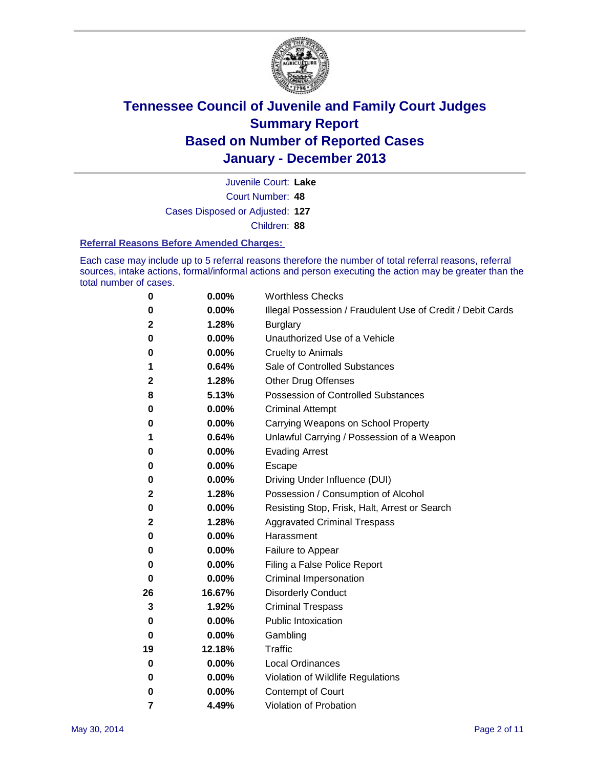

Court Number: **48** Juvenile Court: **Lake** Cases Disposed or Adjusted: **127** Children: **88**

#### **Referral Reasons Before Amended Charges:**

Each case may include up to 5 referral reasons therefore the number of total referral reasons, referral sources, intake actions, formal/informal actions and person executing the action may be greater than the total number of cases.

| $\boldsymbol{0}$ | 0.00%  | <b>Worthless Checks</b>                                     |
|------------------|--------|-------------------------------------------------------------|
| 0                | 0.00%  | Illegal Possession / Fraudulent Use of Credit / Debit Cards |
| 2                | 1.28%  | <b>Burglary</b>                                             |
| 0                | 0.00%  | Unauthorized Use of a Vehicle                               |
| 0                | 0.00%  | <b>Cruelty to Animals</b>                                   |
| 1                | 0.64%  | Sale of Controlled Substances                               |
| 2                | 1.28%  | <b>Other Drug Offenses</b>                                  |
| 8                | 5.13%  | Possession of Controlled Substances                         |
| 0                | 0.00%  | <b>Criminal Attempt</b>                                     |
| 0                | 0.00%  | Carrying Weapons on School Property                         |
| 1                | 0.64%  | Unlawful Carrying / Possession of a Weapon                  |
| 0                | 0.00%  | <b>Evading Arrest</b>                                       |
| 0                | 0.00%  | Escape                                                      |
| 0                | 0.00%  | Driving Under Influence (DUI)                               |
| 2                | 1.28%  | Possession / Consumption of Alcohol                         |
| 0                | 0.00%  | Resisting Stop, Frisk, Halt, Arrest or Search               |
| 2                | 1.28%  | <b>Aggravated Criminal Trespass</b>                         |
| 0                | 0.00%  | Harassment                                                  |
| 0                | 0.00%  | Failure to Appear                                           |
| 0                | 0.00%  | Filing a False Police Report                                |
| 0                | 0.00%  | Criminal Impersonation                                      |
| 26               | 16.67% | <b>Disorderly Conduct</b>                                   |
| 3                | 1.92%  | <b>Criminal Trespass</b>                                    |
| 0                | 0.00%  | <b>Public Intoxication</b>                                  |
| 0                | 0.00%  | Gambling                                                    |
| 19               | 12.18% | Traffic                                                     |
| 0                | 0.00%  | <b>Local Ordinances</b>                                     |
| 0                | 0.00%  | Violation of Wildlife Regulations                           |
| 0                | 0.00%  | Contempt of Court                                           |
| 7                | 4.49%  | Violation of Probation                                      |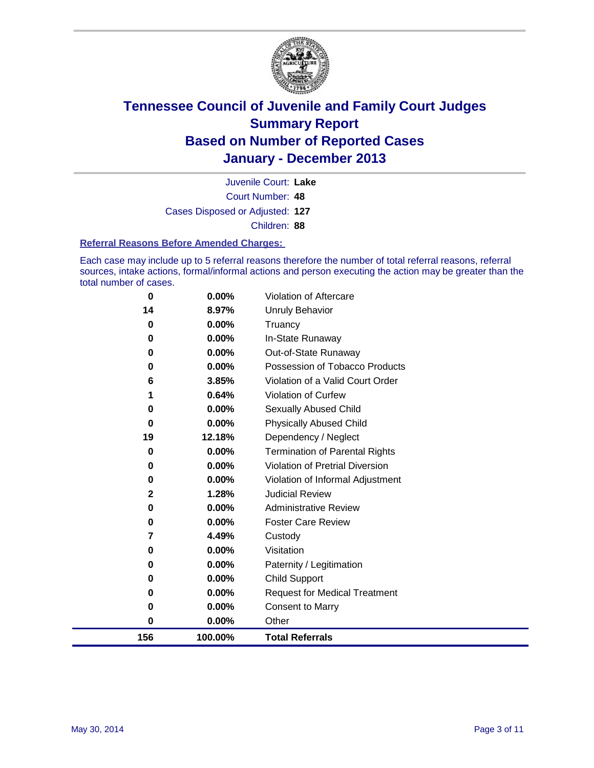

Court Number: **48** Juvenile Court: **Lake** Cases Disposed or Adjusted: **127** Children: **88**

#### **Referral Reasons Before Amended Charges:**

Each case may include up to 5 referral reasons therefore the number of total referral reasons, referral sources, intake actions, formal/informal actions and person executing the action may be greater than the total number of cases.

| 156           | 100.00%        | <b>Total Referrals</b>                   |
|---------------|----------------|------------------------------------------|
| $\bf{0}$      | 0.00%          | Other                                    |
| 0             | 0.00%          | <b>Consent to Marry</b>                  |
| 0             | 0.00%          | <b>Request for Medical Treatment</b>     |
| 0             | 0.00%          | <b>Child Support</b>                     |
| 0             | 0.00%          | Paternity / Legitimation                 |
| 0             | 0.00%          | Visitation                               |
| 7             | 4.49%          | Custody                                  |
| 0             | 0.00%          | <b>Foster Care Review</b>                |
| $\bf{0}$      | 0.00%          | <b>Administrative Review</b>             |
| 2             | 1.28%          | <b>Judicial Review</b>                   |
| 0             | 0.00%          | Violation of Informal Adjustment         |
| 0             | 0.00%          | Violation of Pretrial Diversion          |
| 0             | 0.00%          | <b>Termination of Parental Rights</b>    |
| 19            | 12.18%         | Dependency / Neglect                     |
| 0             | 0.00%          | <b>Physically Abused Child</b>           |
| 0             | 0.00%          | Sexually Abused Child                    |
| 1             | 0.64%          | Violation of Curfew                      |
| 6             | 3.85%          | Violation of a Valid Court Order         |
| 0             | 0.00%          | Possession of Tobacco Products           |
| 0             | 0.00%          | In-State Runaway<br>Out-of-State Runaway |
| 0<br>$\bf{0}$ | 0.00%<br>0.00% | Truancy                                  |
| 14            | 8.97%          | Unruly Behavior                          |
| 0             | 0.00%          | <b>Violation of Aftercare</b>            |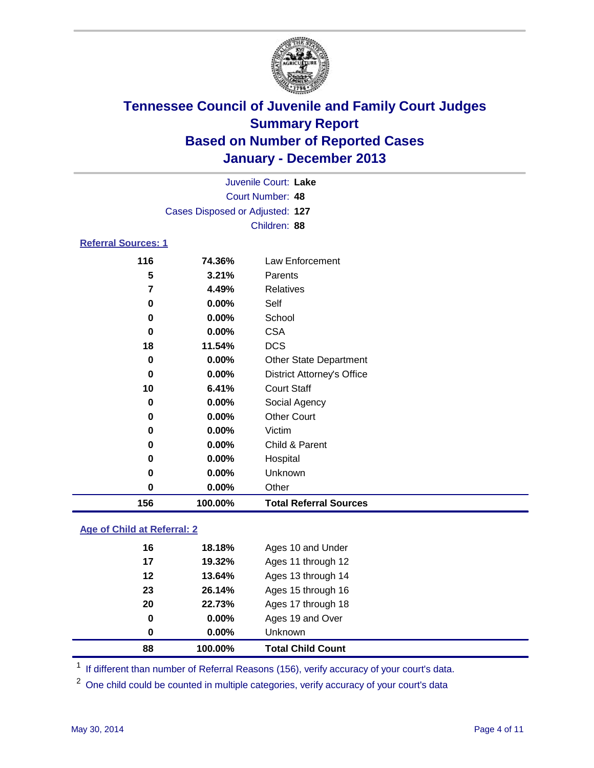

|                            |                                 | Juvenile Court: Lake              |  |
|----------------------------|---------------------------------|-----------------------------------|--|
|                            |                                 | Court Number: 48                  |  |
|                            | Cases Disposed or Adjusted: 127 |                                   |  |
|                            |                                 | Children: 88                      |  |
| <b>Referral Sources: 1</b> |                                 |                                   |  |
| 116                        | 74.36%                          | Law Enforcement                   |  |
| 5                          | 3.21%                           | Parents                           |  |
| 7                          | 4.49%                           | <b>Relatives</b>                  |  |
| 0                          | 0.00%                           | Self                              |  |
| 0                          | $0.00\%$                        | School                            |  |
| 0                          | $0.00\%$                        | <b>CSA</b>                        |  |
| 18                         | 11.54%                          | <b>DCS</b>                        |  |
| 0                          | $0.00\%$                        | <b>Other State Department</b>     |  |
| 0                          | $0.00\%$                        | <b>District Attorney's Office</b> |  |
| 10                         | 6.41%                           | <b>Court Staff</b>                |  |
| 0                          | $0.00\%$                        | Social Agency                     |  |
| 0                          | $0.00\%$                        | <b>Other Court</b>                |  |
| U                          | በ በበ%                           | <i><u>Mictim</u></i>              |  |

| 156 | 100.00%  | <b>Total Referral Sources</b> |
|-----|----------|-------------------------------|
| 0   | $0.00\%$ | Other                         |
| 0   | $0.00\%$ | <b>Unknown</b>                |
| 0   | $0.00\%$ | Hospital                      |
| 0   | $0.00\%$ | Child & Parent                |
| 0   | $0.00\%$ | Victim                        |

### **Age of Child at Referral: 2**

| 0  | 0.00%    | Unknown            |
|----|----------|--------------------|
| 0  | $0.00\%$ | Ages 19 and Over   |
| 20 | 22.73%   | Ages 17 through 18 |
| 23 | 26.14%   | Ages 15 through 16 |
| 12 | 13.64%   | Ages 13 through 14 |
| 17 | 19.32%   | Ages 11 through 12 |
| 16 | 18.18%   | Ages 10 and Under  |
|    |          |                    |

<sup>1</sup> If different than number of Referral Reasons (156), verify accuracy of your court's data.

<sup>2</sup> One child could be counted in multiple categories, verify accuracy of your court's data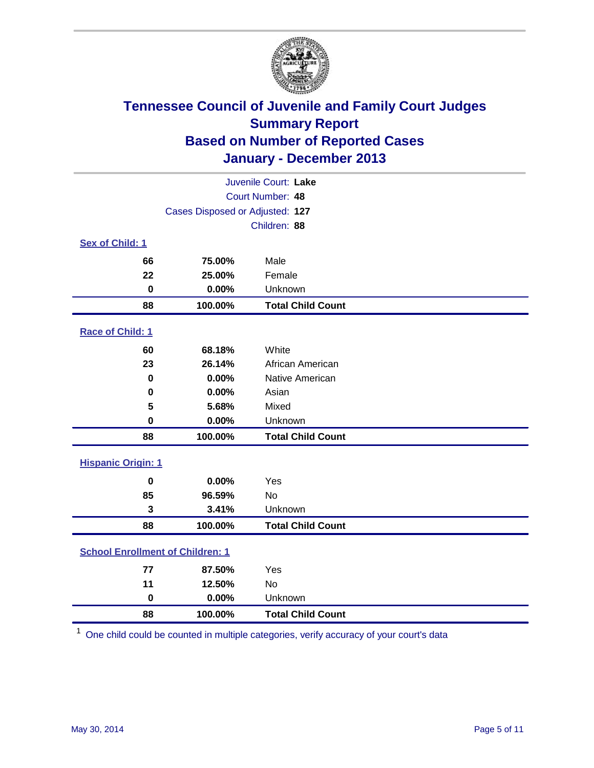

|                                         |                                 | Juvenile Court: Lake     |
|-----------------------------------------|---------------------------------|--------------------------|
|                                         |                                 | Court Number: 48         |
|                                         | Cases Disposed or Adjusted: 127 |                          |
|                                         |                                 | Children: 88             |
| Sex of Child: 1                         |                                 |                          |
| 66                                      | 75.00%                          | Male                     |
| 22                                      | 25.00%                          | Female                   |
| $\mathbf 0$                             | 0.00%                           | Unknown                  |
| 88                                      | 100.00%                         | <b>Total Child Count</b> |
| Race of Child: 1                        |                                 |                          |
| 60                                      | 68.18%                          | White                    |
| 23                                      | 26.14%                          | African American         |
| 0                                       | 0.00%                           | Native American          |
| 0                                       | 0.00%                           | Asian                    |
| 5                                       | 5.68%                           | Mixed                    |
| 0                                       | 0.00%                           | Unknown                  |
| 88                                      | 100.00%                         | <b>Total Child Count</b> |
| <b>Hispanic Origin: 1</b>               |                                 |                          |
| 0                                       | 0.00%                           | Yes                      |
| 85                                      | 96.59%                          | No                       |
| 3                                       | 3.41%                           | Unknown                  |
| 88                                      | 100.00%                         | <b>Total Child Count</b> |
| <b>School Enrollment of Children: 1</b> |                                 |                          |
| 77                                      | 87.50%                          | Yes                      |
| 11                                      | 12.50%                          | No                       |
| $\bf{0}$                                | 0.00%                           | Unknown                  |
| 88                                      | 100.00%                         | <b>Total Child Count</b> |

One child could be counted in multiple categories, verify accuracy of your court's data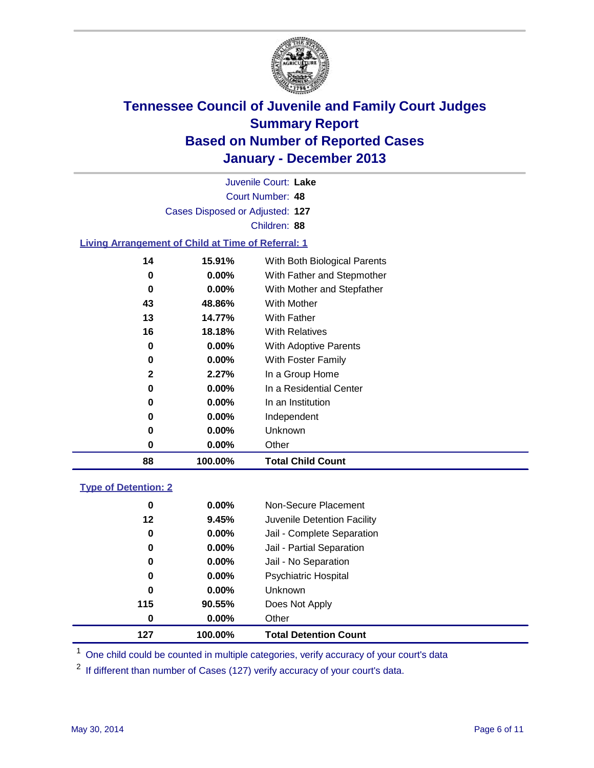

Court Number: **48** Juvenile Court: **Lake** Cases Disposed or Adjusted: **127** Children: **88**

### **Living Arrangement of Child at Time of Referral: 1**

| 88           | 100.00%  | <b>Total Child Count</b>     |
|--------------|----------|------------------------------|
| 0            | $0.00\%$ | Other                        |
| 0            | $0.00\%$ | Unknown                      |
| 0            | $0.00\%$ | Independent                  |
| 0            | $0.00\%$ | In an Institution            |
| 0            | $0.00\%$ | In a Residential Center      |
| $\mathbf{2}$ | 2.27%    | In a Group Home              |
| 0            | $0.00\%$ | With Foster Family           |
| 0            | $0.00\%$ | With Adoptive Parents        |
| 16           | 18.18%   | <b>With Relatives</b>        |
| 13           | 14.77%   | <b>With Father</b>           |
| 43           | 48.86%   | With Mother                  |
| 0            | $0.00\%$ | With Mother and Stepfather   |
| 0            | $0.00\%$ | With Father and Stepmother   |
| 14           | 15.91%   | With Both Biological Parents |
|              |          |                              |

### **Type of Detention: 2**

| 127 | 100.00%  | <b>Total Detention Count</b> |
|-----|----------|------------------------------|
| 0   | 0.00%    | Other                        |
| 115 | 90.55%   | Does Not Apply               |
| 0   | $0.00\%$ | <b>Unknown</b>               |
| 0   | $0.00\%$ | Psychiatric Hospital         |
| 0   | 0.00%    | Jail - No Separation         |
| 0   | $0.00\%$ | Jail - Partial Separation    |
| 0   | 0.00%    | Jail - Complete Separation   |
| 12  | 9.45%    | Juvenile Detention Facility  |
| 0   | $0.00\%$ | Non-Secure Placement         |
|     |          |                              |

<sup>1</sup> One child could be counted in multiple categories, verify accuracy of your court's data

If different than number of Cases (127) verify accuracy of your court's data.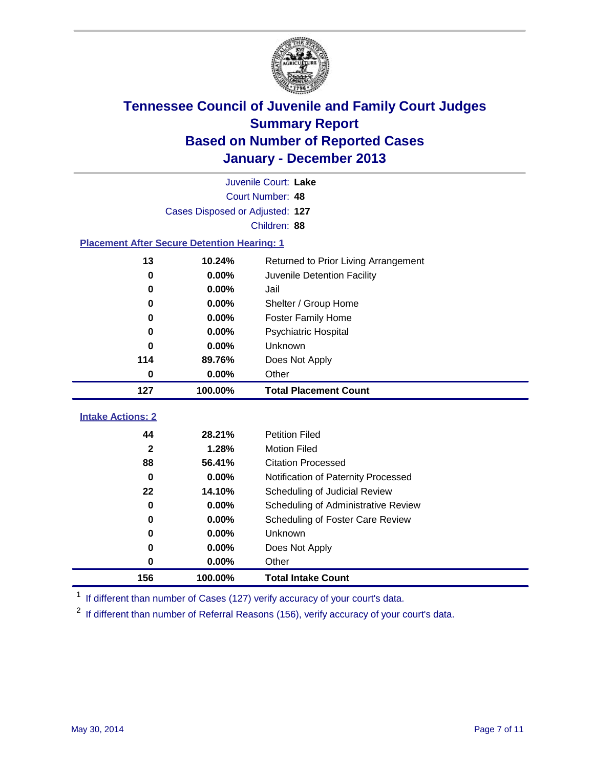

|                                                    |                                 | Juvenile Court: Lake                 |
|----------------------------------------------------|---------------------------------|--------------------------------------|
|                                                    |                                 | Court Number: 48                     |
|                                                    | Cases Disposed or Adjusted: 127 |                                      |
|                                                    |                                 | Children: 88                         |
| <b>Placement After Secure Detention Hearing: 1</b> |                                 |                                      |
| 13                                                 | 10.24%                          | Returned to Prior Living Arrangement |
| 0                                                  | 0.00%                           | Juvenile Detention Facility          |
| $\bf{0}$                                           | 0.00%                           | Jail                                 |
| 0                                                  | 0.00%                           | Shelter / Group Home                 |
| $\bf{0}$                                           | 0.00%                           | <b>Foster Family Home</b>            |
| 0                                                  | 0.00%                           | Psychiatric Hospital                 |
| 0                                                  | 0.00%                           | Unknown                              |
| 114                                                | 89.76%                          | Does Not Apply                       |
| 0                                                  | 0.00%                           | Other                                |
| 127                                                | 100.00%                         | <b>Total Placement Count</b>         |
| <b>Intake Actions: 2</b>                           |                                 |                                      |
| 44                                                 | 28.21%                          | <b>Petition Filed</b>                |
| $\overline{\mathbf{2}}$                            | 1.28%                           | <b>Motion Filed</b>                  |
| 88                                                 | 56.41%                          | <b>Citation Processed</b>            |
| 0                                                  | 0.00%                           | Notification of Paternity Processed  |
| 22                                                 | 14.10%                          | Scheduling of Judicial Review        |
| $\bf{0}$                                           | 0.00%                           | Scheduling of Administrative Review  |
| 0                                                  | 0.00%                           | Scheduling of Foster Care Review     |
| 0                                                  | 0.00%                           | Unknown                              |
| $\bf{0}$                                           | 0.00%                           | Does Not Apply                       |
| 0                                                  | 0.00%                           | Other                                |
|                                                    |                                 |                                      |

<sup>1</sup> If different than number of Cases (127) verify accuracy of your court's data.

If different than number of Referral Reasons (156), verify accuracy of your court's data.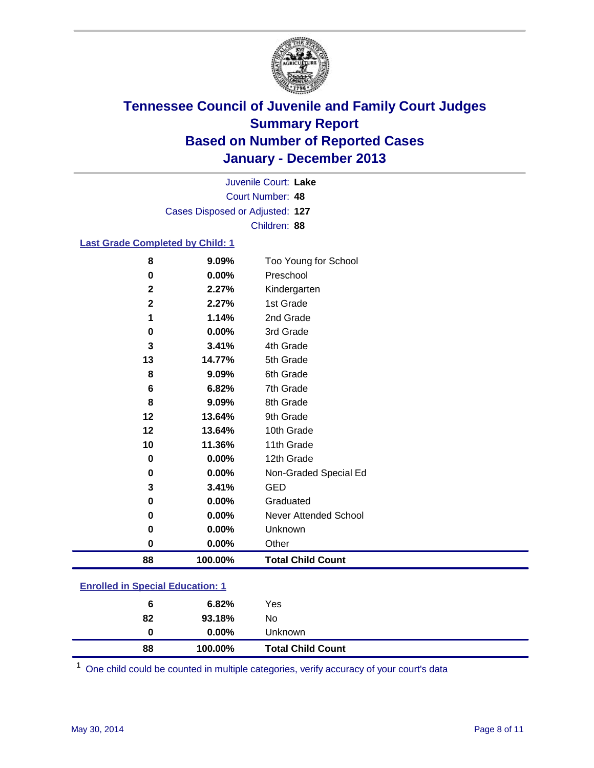

Court Number: **48** Juvenile Court: **Lake** Cases Disposed or Adjusted: **127** Children: **88**

### **Last Grade Completed by Child: 1**

| 8           | 9.09%   | Too Young for School         |
|-------------|---------|------------------------------|
| 0           | 0.00%   | Preschool                    |
| $\mathbf 2$ | 2.27%   | Kindergarten                 |
| $\mathbf 2$ | 2.27%   | 1st Grade                    |
| 1           | 1.14%   | 2nd Grade                    |
| 0           | 0.00%   | 3rd Grade                    |
| 3           | 3.41%   | 4th Grade                    |
| 13          | 14.77%  | 5th Grade                    |
| 8           | 9.09%   | 6th Grade                    |
| 6           | 6.82%   | 7th Grade                    |
| 8           | 9.09%   | 8th Grade                    |
| 12          | 13.64%  | 9th Grade                    |
| 12          | 13.64%  | 10th Grade                   |
| 10          | 11.36%  | 11th Grade                   |
| 0           | 0.00%   | 12th Grade                   |
| 0           | 0.00%   | Non-Graded Special Ed        |
| 3           | 3.41%   | <b>GED</b>                   |
| 0           | 0.00%   | Graduated                    |
| 0           | 0.00%   | <b>Never Attended School</b> |
| 0           | 0.00%   | Unknown                      |
| 0           | 0.00%   | Other                        |
| 88          | 100.00% | <b>Total Child Count</b>     |

| <b>Enrolled in Special Education: 1</b> |
|-----------------------------------------|
|                                         |

| 88 | 100.00%  | <b>Total Child Count</b> |
|----|----------|--------------------------|
| 0  | $0.00\%$ | Unknown                  |
| 82 | 93.18%   | No                       |
| 6  | 6.82%    | Yes                      |
|    |          |                          |

One child could be counted in multiple categories, verify accuracy of your court's data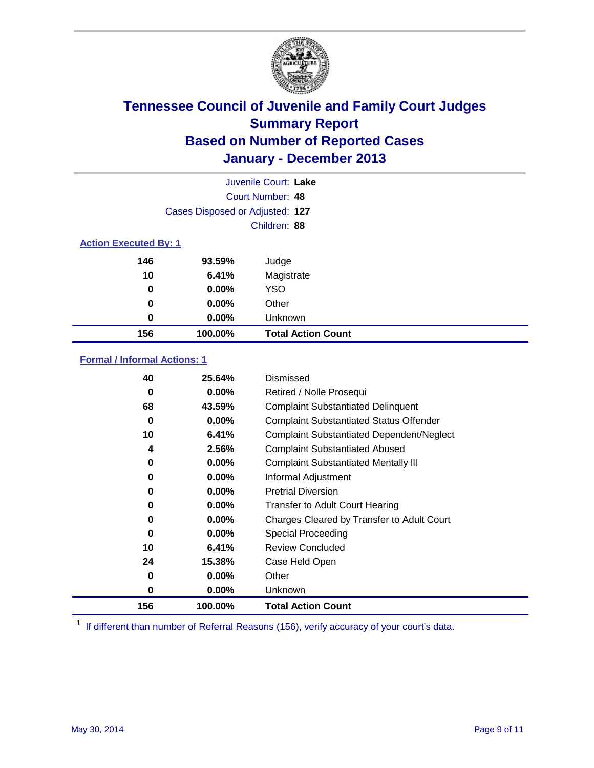

|                              |                                 | Juvenile Court: Lake      |
|------------------------------|---------------------------------|---------------------------|
|                              |                                 | Court Number: 48          |
|                              | Cases Disposed or Adjusted: 127 |                           |
|                              |                                 | Children: 88              |
| <b>Action Executed By: 1</b> |                                 |                           |
| 146                          | 93.59%                          | Judge                     |
| 10                           | 6.41%                           | Magistrate                |
| 0                            | 0.00%                           | <b>YSO</b>                |
| 0                            | $0.00\%$                        | Other                     |
| 0                            | 0.00%                           | Unknown                   |
| 156                          | 100.00%                         | <b>Total Action Count</b> |

### **Formal / Informal Actions: 1**

| 40  | 25.64%   | Dismissed                                        |
|-----|----------|--------------------------------------------------|
| 0   | $0.00\%$ | Retired / Nolle Prosequi                         |
| 68  | 43.59%   | <b>Complaint Substantiated Delinquent</b>        |
| 0   | $0.00\%$ | <b>Complaint Substantiated Status Offender</b>   |
| 10  | 6.41%    | <b>Complaint Substantiated Dependent/Neglect</b> |
| 4   | 2.56%    | <b>Complaint Substantiated Abused</b>            |
| 0   | $0.00\%$ | <b>Complaint Substantiated Mentally III</b>      |
| 0   | $0.00\%$ | Informal Adjustment                              |
| 0   | $0.00\%$ | <b>Pretrial Diversion</b>                        |
| 0   | $0.00\%$ | <b>Transfer to Adult Court Hearing</b>           |
| 0   | $0.00\%$ | Charges Cleared by Transfer to Adult Court       |
| 0   | $0.00\%$ | Special Proceeding                               |
| 10  | 6.41%    | <b>Review Concluded</b>                          |
| 24  | 15.38%   | Case Held Open                                   |
| 0   | $0.00\%$ | Other                                            |
| 0   | $0.00\%$ | <b>Unknown</b>                                   |
| 156 | 100.00%  | <b>Total Action Count</b>                        |

<sup>1</sup> If different than number of Referral Reasons (156), verify accuracy of your court's data.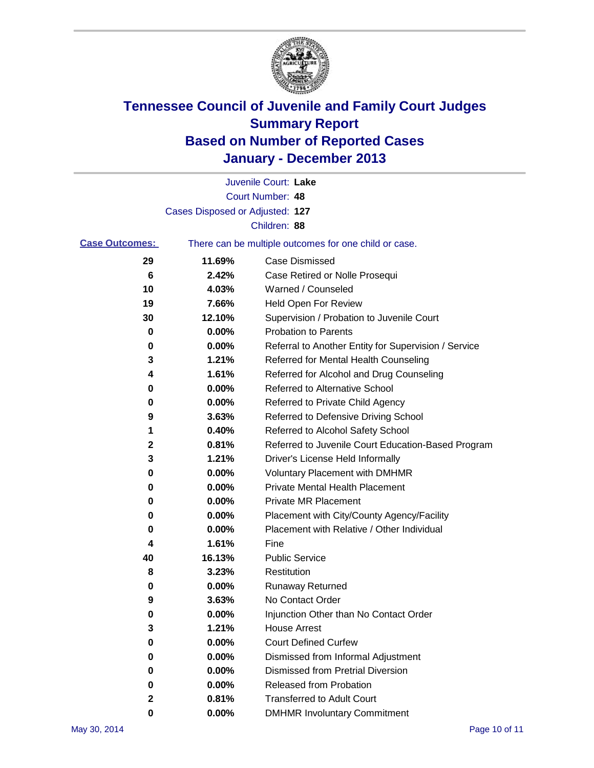

|                       |                                 | Juvenile Court: Lake                                  |
|-----------------------|---------------------------------|-------------------------------------------------------|
|                       |                                 | Court Number: 48                                      |
|                       | Cases Disposed or Adjusted: 127 |                                                       |
|                       |                                 | Children: 88                                          |
| <b>Case Outcomes:</b> |                                 | There can be multiple outcomes for one child or case. |
| 29                    | 11.69%                          | <b>Case Dismissed</b>                                 |
| 6                     | 2.42%                           | Case Retired or Nolle Prosequi                        |
| 10                    | 4.03%                           | Warned / Counseled                                    |
| 19                    | 7.66%                           | Held Open For Review                                  |
| 30                    | 12.10%                          | Supervision / Probation to Juvenile Court             |
| 0                     | 0.00%                           | <b>Probation to Parents</b>                           |
| 0                     | 0.00%                           | Referral to Another Entity for Supervision / Service  |
| 3                     | 1.21%                           | Referred for Mental Health Counseling                 |
| 4                     | 1.61%                           | Referred for Alcohol and Drug Counseling              |
| 0                     | 0.00%                           | <b>Referred to Alternative School</b>                 |
| 0                     | 0.00%                           | Referred to Private Child Agency                      |
| 9                     | 3.63%                           | Referred to Defensive Driving School                  |
| 1                     | 0.40%                           | Referred to Alcohol Safety School                     |
| 2                     | 0.81%                           | Referred to Juvenile Court Education-Based Program    |
| 3                     | 1.21%                           | Driver's License Held Informally                      |
| 0                     | 0.00%                           | <b>Voluntary Placement with DMHMR</b>                 |
| 0                     | 0.00%                           | <b>Private Mental Health Placement</b>                |
| 0                     | 0.00%                           | <b>Private MR Placement</b>                           |
| 0                     | 0.00%                           | Placement with City/County Agency/Facility            |
| 0                     | 0.00%                           | Placement with Relative / Other Individual            |
| 4                     | 1.61%                           | Fine                                                  |
| 40                    | 16.13%                          | <b>Public Service</b>                                 |
| 8                     | 3.23%                           | Restitution                                           |
| 0                     | 0.00%                           | <b>Runaway Returned</b>                               |
| 9                     | 3.63%                           | No Contact Order                                      |
| $\bf{0}$              | 0.00%                           | Injunction Other than No Contact Order                |
| 3                     | 1.21%                           | <b>House Arrest</b>                                   |
| 0                     | 0.00%                           | <b>Court Defined Curfew</b>                           |
| 0                     | 0.00%                           | Dismissed from Informal Adjustment                    |
| 0                     | 0.00%                           | <b>Dismissed from Pretrial Diversion</b>              |
| 0                     | 0.00%                           | Released from Probation                               |
| 2                     | 0.81%                           | <b>Transferred to Adult Court</b>                     |
| 0                     | $0.00\%$                        | <b>DMHMR Involuntary Commitment</b>                   |